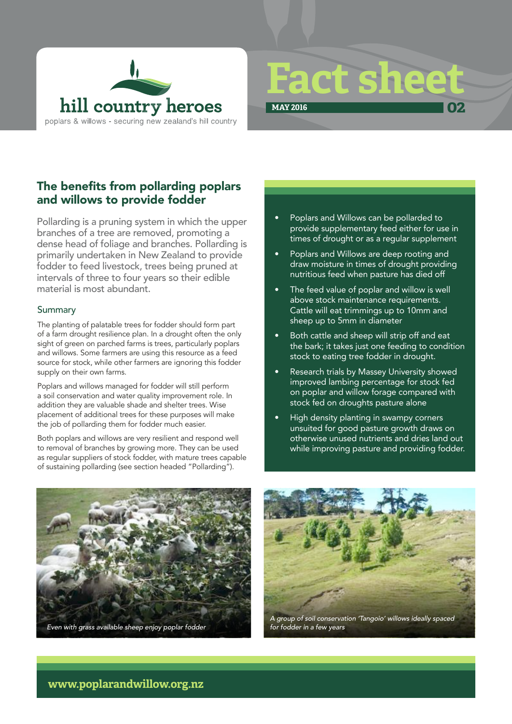



**02**

**MAY 2016**

# The benefits from pollarding poplars and willows to provide fodder

Pollarding is a pruning system in which the upper branches of a tree are removed, promoting a dense head of foliage and branches. Pollarding is primarily undertaken in New Zealand to provide fodder to feed livestock, trees being pruned at intervals of three to four years so their edible material is most abundant.

### **Summary**

The planting of palatable trees for fodder should form part of a farm drought resilience plan. In a drought often the only sight of green on parched farms is trees, particularly poplars and willows. Some farmers are using this resource as a feed source for stock, while other farmers are ignoring this fodder supply on their own farms.

Poplars and willows managed for fodder will still perform a soil conservation and water quality improvement role. In addition they are valuable shade and shelter trees. Wise placement of additional trees for these purposes will make the job of pollarding them for fodder much easier.

Both poplars and willows are very resilient and respond well to removal of branches by growing more. They can be used as regular suppliers of stock fodder, with mature trees capable of sustaining pollarding (see section headed "Pollarding").

#### • Poplars and Willows can be pollarded to provide supplementary feed either for use in times of drought or as a regular supplement

- Poplars and Willows are deep rooting and draw moisture in times of drought providing nutritious feed when pasture has died off
- The feed value of poplar and willow is well above stock maintenance requirements. Cattle will eat trimmings up to 10mm and sheep up to 5mm in diameter
- Both cattle and sheep will strip off and eat the bark; it takes just one feeding to condition stock to eating tree fodder in drought.
- Research trials by Massey University showed improved lambing percentage for stock fed on poplar and willow forage compared with stock fed on droughts pasture alone
- High density planting in swampy corners unsuited for good pasture growth draws on otherwise unused nutrients and dries land out while improving pasture and providing fodder.



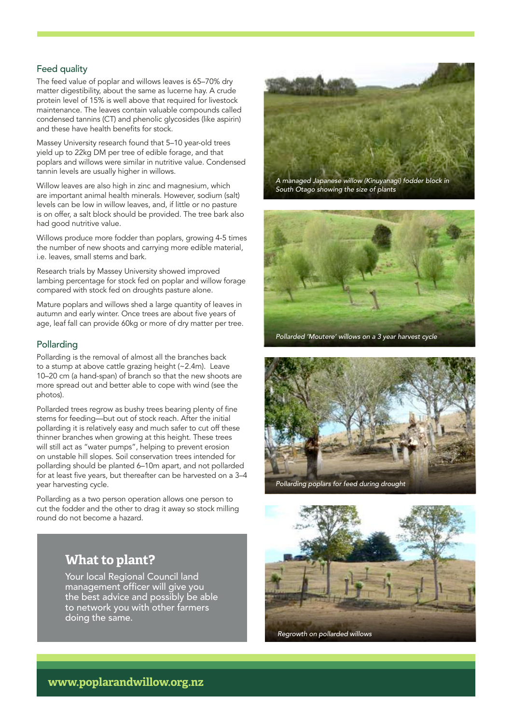## Feed quality

The feed value of poplar and willows leaves is 65–70% dry matter digestibility, about the same as lucerne hay. A crude protein level of 15% is well above that required for livestock maintenance. The leaves contain valuable compounds called condensed tannins (CT) and phenolic glycosides (like aspirin) and these have health benefits for stock.

Massey University research found that 5–10 year-old trees yield up to 22kg DM per tree of edible forage, and that poplars and willows were similar in nutritive value. Condensed tannin levels are usually higher in willows.

Willow leaves are also high in zinc and magnesium, which are important animal health minerals. However, sodium (salt) levels can be low in willow leaves, and, if little or no pasture is on offer, a salt block should be provided. The tree bark also had good nutritive value.

Willows produce more fodder than poplars, growing 4-5 times the number of new shoots and carrying more edible material, i.e. leaves, small stems and bark.

Research trials by Massey University showed improved lambing percentage for stock fed on poplar and willow forage compared with stock fed on droughts pasture alone.

Mature poplars and willows shed a large quantity of leaves in autumn and early winter. Once trees are about five years of age, leaf fall can provide 60kg or more of dry matter per tree.

#### Pollarding

Pollarding is the removal of almost all the branches back to a stump at above cattle grazing height (~2.4m). Leave 10–20 cm (a hand-span) of branch so that the new shoots are more spread out and better able to cope with wind (see the photos).

Pollarded trees regrow as bushy trees bearing plenty of fine stems for feeding—but out of stock reach. After the initial pollarding it is relatively easy and much safer to cut off these thinner branches when growing at this height. These trees will still act as "water pumps", helping to prevent erosion on unstable hill slopes. Soil conservation trees intended for pollarding should be planted 6–10m apart, and not pollarded for at least five years, but thereafter can be harvested on a 3–4 year harvesting cycle.

Pollarding as a two person operation allows one person to cut the fodder and the other to drag it away so stock milling round do not become a hazard.

# *A managed Japanese willow (Kinuyanagi) fodder block in South Otago showing the size of plants*







## **What to plant?**

Your local Regional Council land management officer will give you the best advice and possibly be able to network you with other farmers doing the same.